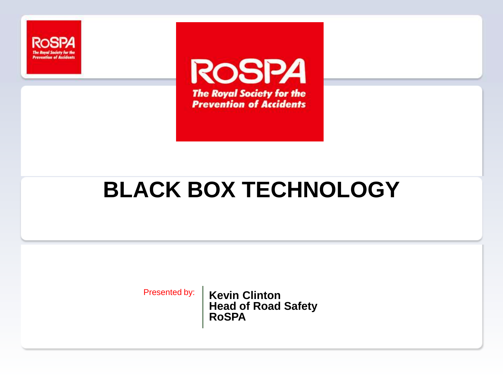

**ROSPA The Royal Society for the Prevention of Accidents** 

## **BLACK BOX TECHNOLOGY**

Presented by: | **Kevin Clinton Head of Road Safety RoSPA**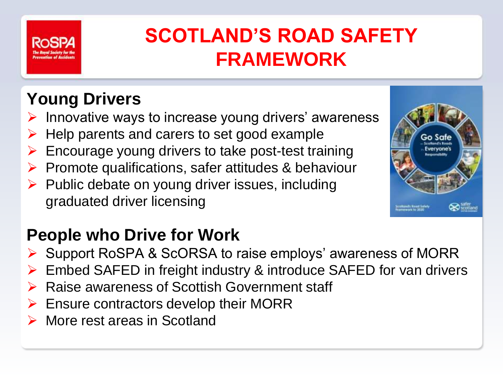

## **SCOTLAND'S ROAD SAFETY FRAMEWORK**

#### **Young Drivers**

- Innovative ways to increase young drivers' awareness
- Help parents and carers to set good example
- Encourage young drivers to take post-test training
- $\triangleright$  Promote qualifications, safer attitudes & behaviour
- $\triangleright$  Public debate on young driver issues, including graduated driver licensing

#### **People who Drive for Work**

- ▶ Support RoSPA & ScORSA to raise employs' awareness of MORR
- Embed SAFED in freight industry & introduce SAFED for van drivers
- **▶ Raise awareness of Scottish Government staff**
- $\triangleright$  Ensure contractors develop their MORR
- **▶ More rest areas in Scotland**

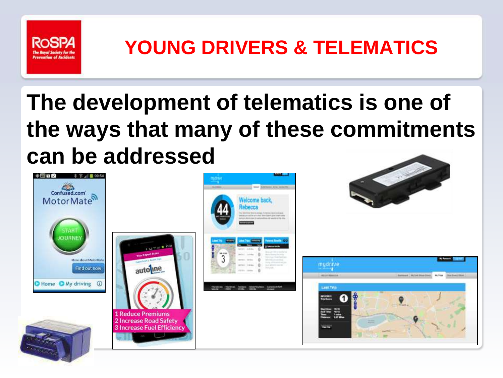

## **YOUNG DRIVERS & TELEMATICS**

## **The development of telematics is one of the ways that many of these commitments can be addressed**

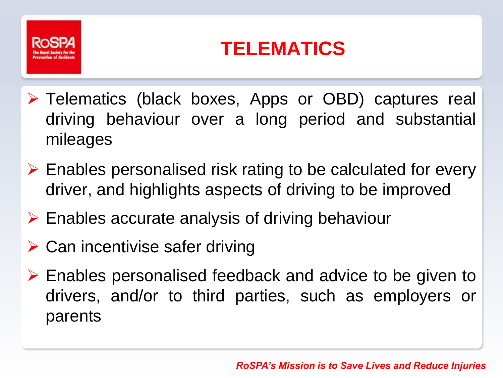

### **TELEMATICS**

- Telematics (black boxes, Apps or OBD) captures real driving behaviour over a long period and substantial mileages
- $\triangleright$  Enables personalised risk rating to be calculated for every driver, and highlights aspects of driving to be improved
- $\triangleright$  Enables accurate analysis of driving behaviour
- $\triangleright$  Can incentivise safer driving
- $\triangleright$  Enables personalised feedback and advice to be given to drivers, and/or to third parties, such as employers or parents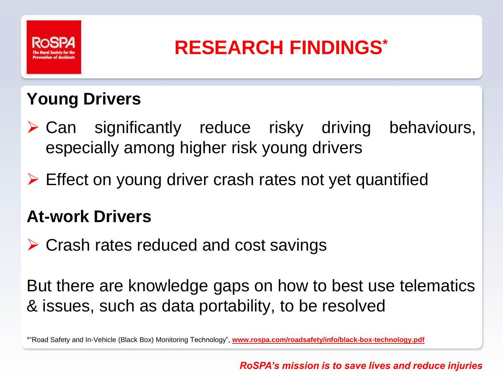

#### **RESEARCH FINDINGS\***

#### **Young Drivers**

- $\triangleright$  Can significantly reduce risky driving behaviours, especially among higher risk young drivers
- $\triangleright$  Effect on young driver crash rates not yet quantified

#### **At-work Drivers**

 $\triangleright$  Crash rates reduced and cost savings

But there are knowledge gaps on how to best use telematics & issues, such as data portability, to be resolved

\*"Road Safety and In-Vehicle (Black Box) Monitoring Technology", **www.rospa.com/roadsafety/info/black-box-technology.pdf**

*RoSPA's mission is to save lives and reduce injuries*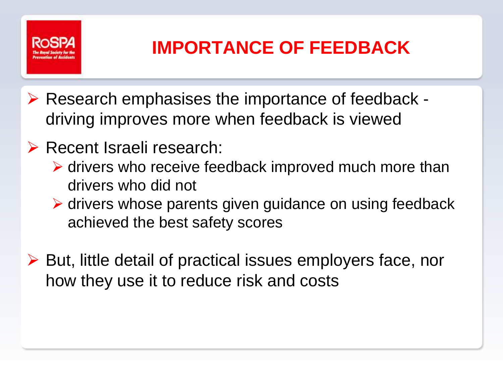

#### **IMPORTANCE OF FEEDBACK**

- $\triangleright$  Research emphasises the importance of feedback driving improves more when feedback is viewed
- **EXECENT ISRAELE:** Recent Israeli research:
	- $\triangleright$  drivers who receive feedback improved much more than drivers who did not
	- $\triangleright$  drivers whose parents given guidance on using feedback achieved the best safety scores
- ▶ But, little detail of practical issues employers face, nor how they use it to reduce risk and costs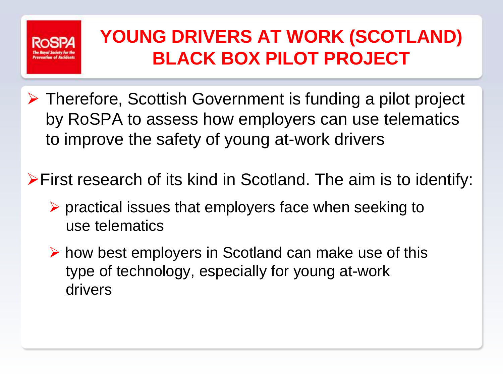

#### **YOUNG DRIVERS AT WORK (SCOTLAND) BLACK BOX PILOT PROJECT**

- Therefore, Scottish Government is funding a pilot project by RoSPA to assess how employers can use telematics to improve the safety of young at-work drivers
- First research of its kind in Scotland. The aim is to identify:
	- $\triangleright$  practical issues that employers face when seeking to use telematics
	- $\triangleright$  how best employers in Scotland can make use of this type of technology, especially for young at-work drivers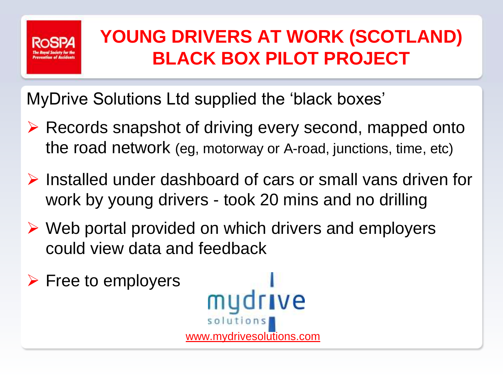

#### **YOUNG DRIVERS AT WORK (SCOTLAND) BLACK BOX PILOT PROJECT**

MyDrive Solutions Ltd supplied the 'black boxes'

- $\triangleright$  Records snapshot of driving every second, mapped onto the road network (eg, motorway or A-road, junctions, time, etc)
- $\triangleright$  Installed under dashboard of cars or small vans driven for work by young drivers - took 20 mins and no drilling
- $\triangleright$  Web portal provided on which drivers and employers could view data and feedback
- $\triangleright$  Free to employers ve solution www.mydrivesolutions.com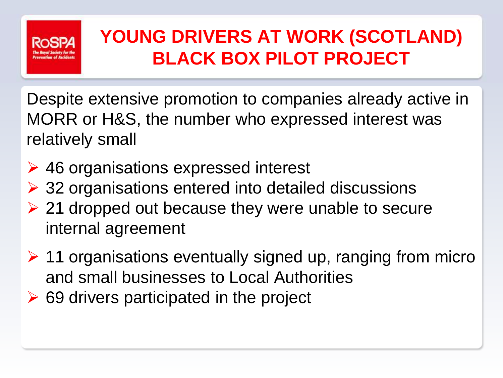

#### **YOUNG DRIVERS AT WORK (SCOTLAND) BLACK BOX PILOT PROJECT**

Despite extensive promotion to companies already active in MORR or H&S, the number who expressed interest was relatively small

- **► 46 organisations expressed interest**
- ▶ 32 organisations entered into detailed discussions
- $\geq$  21 dropped out because they were unable to secure internal agreement
- $\geq$  11 organisations eventually signed up, ranging from micro and small businesses to Local Authorities
- $\triangleright$  69 drivers participated in the project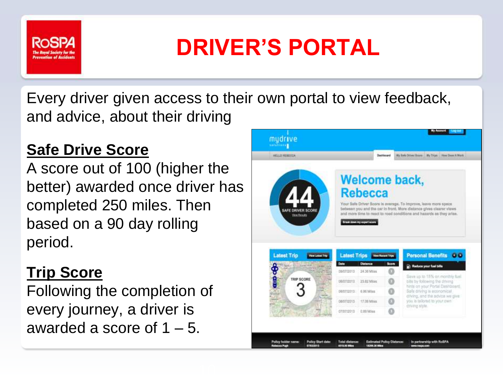

# **DRIVER'S PORTAL**

Every driver given access to their own portal to view feedback, and advice, about their driving

#### **Safe Drive Score**

A score out of 100 (higher the better) awarded once driver has completed 250 miles. Then based on a 90 day rolling period.

#### **Trip Score**

Following the completion of every journey, a driver is awarded a score of  $1 - 5$ .

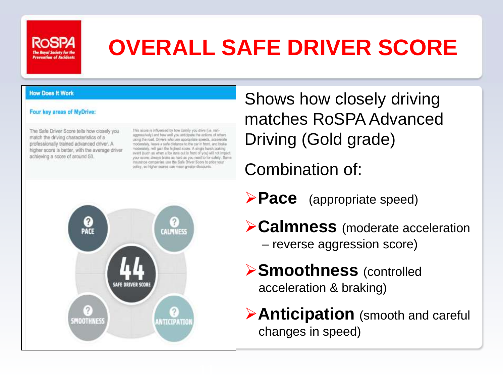

## **OVERALL SAFE DRIVER SCORE**

#### **How Does It Work**

#### Four key areas of MyDrive:

The Safe Driver Score tells how closely you match the driving characteristics of a professionally trained advanced driver. A higher score is better, with the average driver achieving a score of around 50.

This score is influenced by how calmly you drive (i.e. nonaggressively) and how well you anticipate the actions of others. using the road. Drivers who use appropriate speeds, accelerate moderately, leave a safe distance to the car in front, and blake moderately, will gain the highest socre. A single harsh braking wyer! Buch as when a fox runs out in front of you) will not impact your score; always brake as hard as you need to for safety. Some miurance companies use the Safe Driver Score to price your policy, so higher scores can mean greater discounts.



Shows how closely driving matches RoSPA Advanced Driving (Gold grade)

Combination of:

**Pace** (appropriate speed)

- **Calmness** (moderate acceleration – reverse aggression score)
- **Smoothness** (controlled acceleration & braking)
- **Anticipation** (smooth and careful changes in speed)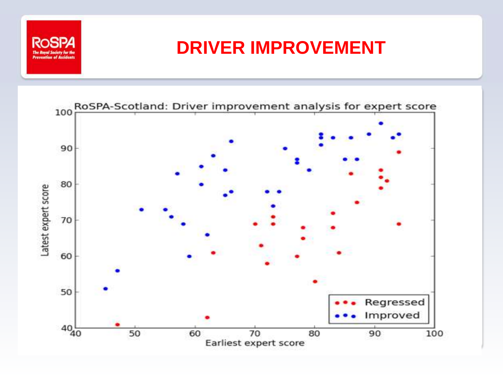

#### **DRIVER IMPROVEMENT**

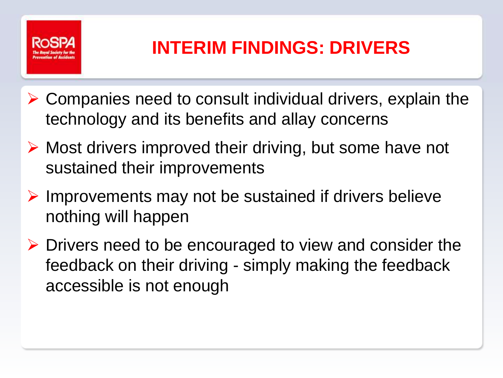

#### **INTERIM FINDINGS: DRIVERS**

- $\triangleright$  Companies need to consult individual drivers, explain the technology and its benefits and allay concerns
- $\triangleright$  Most drivers improved their driving, but some have not sustained their improvements
- $\triangleright$  Improvements may not be sustained if drivers believe nothing will happen
- $\triangleright$  Drivers need to be encouraged to view and consider the feedback on their driving - simply making the feedback accessible is not enough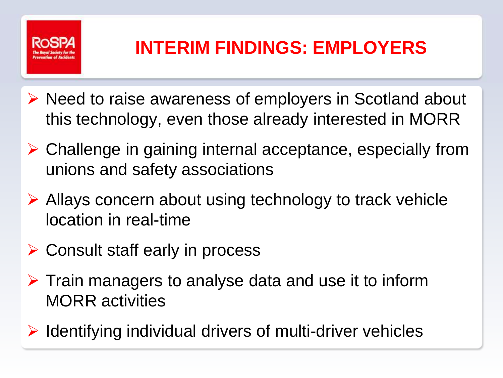

#### **INTERIM FINDINGS: EMPLOYERS**

- $\triangleright$  Need to raise awareness of employers in Scotland about this technology, even those already interested in MORR
- Challenge in gaining internal acceptance, especially from unions and safety associations
- ▶ Allays concern about using technology to track vehicle location in real-time
- **► Consult staff early in process**
- $\triangleright$  Train managers to analyse data and use it to inform MORR activities
- $\triangleright$  Identifying individual drivers of multi-driver vehicles